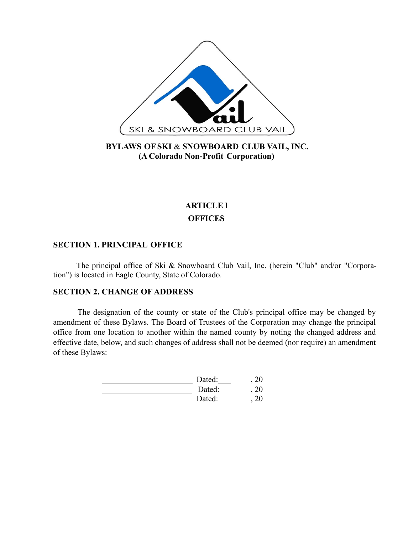

# **BYLAWS OF SKI** & **SNOWBOARD CLUB VAIL, INC. (A Colorado Non-Profit Corporation)**

# **ARTICLE l OFFICES**

# **SECTION 1. PRINCIPAL OFFICE**

The principal office of Ski & Snowboard Club Vail, Inc. (herein "Club" and/or "Corporation") is located in Eagle County, State of Colorado.

# **SECTION 2. CHANGE OF ADDRESS**

The designation of the county or state of the Club's principal office may be changed by amendment of these Bylaws. The Board of Trustees of the Corporation may change the principal office from one location to another within the named county by noting the changed address and effective date, below, and such changes of address shall not be deemed (nor require) an amendment of these Bylaws:

| Dated: |  |
|--------|--|
| Dated: |  |
| Dated: |  |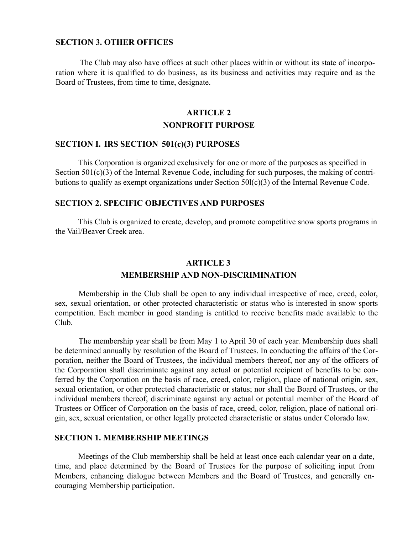# **SECTION 3. OTHER OFFICES**

The Club may also have offices at such other places within or without its state of incorporation where it is qualified to do business, as its business and activities may require and as the Board of Trustees, from time to time, designate.

# **ARTICLE 2 NONPROFIT PURPOSE**

# **SECTION I. IRS SECTION 501(c)(3) PURPOSES**

This Corporation is organized exclusively for one or more of the purposes as specified in Section 501(c)(3) of the Internal Revenue Code, including for such purposes, the making of contributions to qualify as exempt organizations under Section 50l(c)(3) of the Internal Revenue Code.

## **SECTION 2. SPECIFIC OBJECTIVES AND PURPOSES**

This Club is organized to create, develop, and promote competitive snow sports programs in the Vail/Beaver Creek area.

# **ARTICLE 3 MEMBERSHIP AND NON-DISCRIMINATION**

Membership in the Club shall be open to any individual irrespective of race, creed, color, sex, sexual orientation, or other protected characteristic or status who is interested in snow sports competition. Each member in good standing is entitled to receive benefits made available to the Club.

The membership year shall be from May 1 to April 30 of each year. Membership dues shall be determined annually by resolution of the Board of Trustees. In conducting the affairs of the Corporation, neither the Board of Trustees, the individual members thereof, nor any of the officers of the Corporation shall discriminate against any actual or potential recipient of benefits to be conferred by the Corporation on the basis of race, creed, color, religion, place of national origin, sex, sexual orientation, or other protected characteristic or status; nor shall the Board of Trustees, or the individual members thereof, discriminate against any actual or potential member of the Board of Trustees or Officer of Corporation on the basis of race, creed, color, religion, place of national origin, sex, sexual orientation, or other legally protected characteristic or status under Colorado law.

### **SECTION 1. MEMBERSHIP MEETINGS**

Meetings of the Club membership shall be held at least once each calendar year on a date, time, and place determined by the Board of Trustees for the purpose of soliciting input from Members, enhancing dialogue between Members and the Board of Trustees, and generally encouraging Membership participation.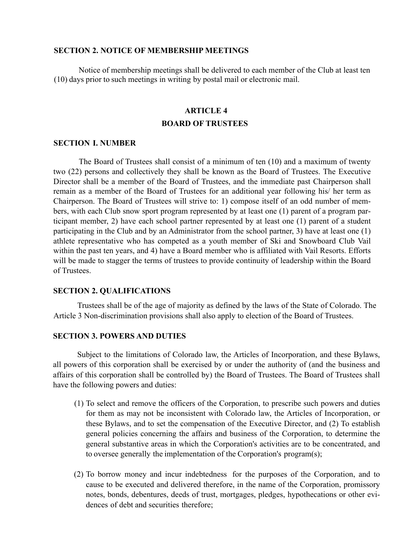#### **SECTION 2. NOTICE OF MEMBERSHIP MEETINGS**

Notice of membership meetings shall be delivered to each member of the Club at least ten (10) days prior to such meetings in writing by postal mail or electronic mail.

# **ARTICLE 4 BOARD OF TRUSTEES**

#### **SECTION I. NUMBER**

The Board of Trustees shall consist of a minimum of ten (10) and a maximum of twenty two (22) persons and collectively they shall be known as the Board of Trustees. The Executive Director shall be a member of the Board of Trustees, and the immediate past Chairperson shall remain as a member of the Board of Trustees for an additional year following his/ her term as Chairperson. The Board of Trustees will strive to: 1) compose itself of an odd number of members, with each Club snow sport program represented by at least one (1) parent of a program participant member, 2) have each school partner represented by at least one (1) parent of a student participating in the Club and by an Administrator from the school partner, 3) have at least one (1) athlete representative who has competed as a youth member of Ski and Snowboard Club Vail within the past ten years, and 4) have a Board member who is affiliated with Vail Resorts. Efforts will be made to stagger the terms of trustees to provide continuity of leadership within the Board of Trustees.

#### **SECTION 2. QUALIFICATIONS**

Trustees shall be of the age of majority as defined by the laws of the State of Colorado. The Article 3 Non-discrimination provisions shall also apply to election of the Board of Trustees.

#### **SECTION 3. POWERS AND DUTIES**

Subject to the limitations of Colorado law, the Articles of Incorporation, and these Bylaws, all powers of this corporation shall be exercised by or under the authority of (and the business and affairs of this corporation shall be controlled by) the Board of Trustees. The Board of Trustees shall have the following powers and duties:

- (1) To select and remove the officers of the Corporation, to prescribe such powers and duties for them as may not be inconsistent with Colorado law, the Articles of Incorporation, or these Bylaws, and to set the compensation of the Executive Director, and (2) To establish general policies concerning the affairs and business of the Corporation, to determine the general substantive areas in which the Corporation's activities are to be concentrated, and to oversee generally the implementation of the Corporation's program(s);
- (2) To borrow money and incur indebtedness for the purposes of the Corporation, and to cause to be executed and delivered therefore, in the name of the Corporation, promissory notes, bonds, debentures, deeds of trust, mortgages, pledges, hypothecations or other evidences of debt and securities therefore;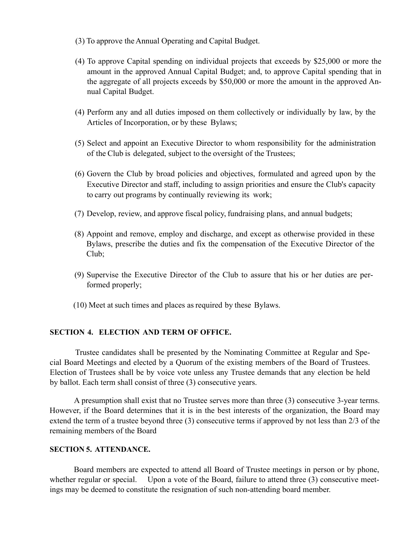- (3) To approve the Annual Operating and Capital Budget.
- (4) To approve Capital spending on individual projects that exceeds by \$25,000 or more the amount in the approved Annual Capital Budget; and, to approve Capital spending that in the aggregate of all projects exceeds by \$50,000 or more the amount in the approved Annual Capital Budget.
- (4) Perform any and all duties imposed on them collectively or individually by law, by the Articles of Incorporation, or by these Bylaws;
- (5) Select and appoint an Executive Director to whom responsibility for the administration of the Club is delegated, subject to the oversight of the Trustees;
- (6) Govern the Club by broad policies and objectives, formulated and agreed upon by the Executive Director and staff, including to assign priorities and ensure the Club's capacity to carry out programs by continually reviewing its work;
- (7) Develop, review, and approve fiscal policy, fundraising plans, and annual budgets;
- (8) Appoint and remove, employ and discharge, and except as otherwise provided in these Bylaws, prescribe the duties and fix the compensation of the Executive Director of the Club;
- (9) Supervise the Executive Director of the Club to assure that his or her duties are performed properly;
- (10) Meet at such times and places as required by these Bylaws.

# **SECTION 4. ELECTION AND TERM OF OFFICE.**

Trustee candidates shall be presented by the Nominating Committee at Regular and Special Board Meetings and elected by a Quorum of the existing members of the Board of Trustees. Election of Trustees shall be by voice vote unless any Trustee demands that any election be held by ballot. Each term shall consist of three (3) consecutive years.

A presumption shall exist that no Trustee serves more than three (3) consecutive 3-year terms. However, if the Board determines that it is in the best interests of the organization, the Board may extend the term of a trustee beyond three (3) consecutive terms if approved by not less than 2/3 of the remaining members of the Board

# **SECTION 5. ATTENDANCE.**

Board members are expected to attend all Board of Trustee meetings in person or by phone, whether regular or special. Upon a vote of the Board, failure to attend three (3) consecutive meetings may be deemed to constitute the resignation of such non-attending board member.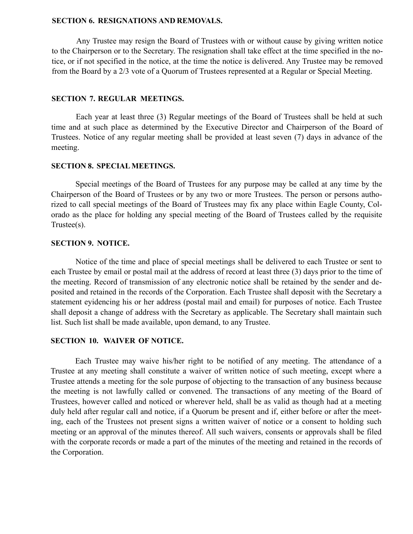#### **SECTION 6. RESIGNATIONS AND REMOVALS.**

Any Trustee may resign the Board of Trustees with or without cause by giving written notice to the Chairperson or to the Secretary. The resignation shall take effect at the time specified in the notice, or if not specified in the notice, at the time the notice is delivered. Any Trustee may be removed from the Board by a 2/3 vote of a Quorum of Trustees represented at a Regular or Special Meeting.

#### **SECTION 7. REGULAR MEETINGS.**

Each year at least three (3) Regular meetings of the Board of Trustees shall be held at such time and at such place as determined by the Executive Director and Chairperson of the Board of Trustees. Notice of any regular meeting shall be provided at least seven (7) days in advance of the meeting.

#### **SECTION 8. SPECIALMEETINGS.**

Special meetings of the Board of Trustees for any purpose may be called at any time by the Chairperson of the Board of Trustees or by any two or more Trustees. The person or persons authorized to call special meetings of the Board of Trustees may fix any place within Eagle County, Colorado as the place for holding any special meeting of the Board of Trustees called by the requisite Trustee(s).

### **SECTION 9. NOTICE.**

Notice of the time and place of special meetings shall be delivered to each Trustee or sent to each Trustee by email or postal mail at the address of record at least three (3) days prior to the time of the meeting. Record of transmission of any electronic notice shall be retained by the sender and deposited and retained in the records of the Corporation. Each Trustee shall deposit with the Secretary a statement eyidencing his or her address (postal mail and email) for purposes of notice. Each Trustee shall deposit a change of address with the Secretary as applicable. The Secretary shall maintain such list. Such list shall be made available, upon demand, to any Trustee.

#### **SECTION 10. WAIVER OF NOTICE.**

Each Trustee may waive his/her right to be notified of any meeting. The attendance of a Trustee at any meeting shall constitute a waiver of written notice of such meeting, except where a Trustee attends a meeting for the sole purpose of objecting to the transaction of any business because the meeting is not lawfully called or convened. The transactions of any meeting of the Board of Trustees, however called and noticed or wherever held, shall be as valid as though had at a meeting duly held after regular call and notice, if a Quorum be present and if, either before or after the meeting, each of the Trustees not present signs a written waiver of notice or a consent to holding such meeting or an approval of the minutes thereof. All such waivers, consents or approvals shall be filed with the corporate records or made a part of the minutes of the meeting and retained in the records of the Corporation.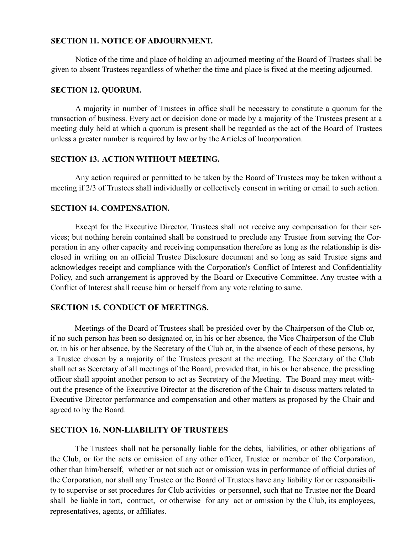### **SECTION 11. NOTICE OF ADJOURNMENT.**

Notice of the time and place of holding an adjourned meeting of the Board of Trustees shall be given to absent Trustees regardless of whether the time and place is fixed at the meeting adjourned.

## **SECTION 12. QUORUM.**

A majority in number of Trustees in office shall be necessary to constitute a quorum for the transaction of business. Every act or decision done or made by a majority of the Trustees present at a meeting duly held at which a quorum is present shall be regarded as the act of the Board of Trustees unless a greater number is required by law or by the Articles of Incorporation.

# **SECTION 13. ACTION WITHOUT MEETING.**

Any action required or permitted to be taken by the Board of Trustees may be taken without a meeting if 2/3 of Trustees shall individually or collectively consent in writing or email to such action.

# **SECTION 14. COMPENSATION.**

Except for the Executive Director, Trustees shall not receive any compensation for their services; but nothing herein contained shall be construed to preclude any Trustee from serving the Corporation in any other capacity and receiving compensation therefore as long as the relationship is disclosed in writing on an official Trustee Disclosure document and so long as said Trustee signs and acknowledges receipt and compliance with the Corporation's Conflict of Interest and Confidentiality Policy, and such arrangement is approved by the Board or Executive Committee. Any trustee with a Conflict of Interest shall recuse him or herself from any vote relating to same.

# **SECTION 15. CONDUCT OF MEETINGS.**

Meetings of the Board of Trustees shall be presided over by the Chairperson of the Club or, if no such person has been so designated or, in his or her absence, the Vice Chairperson of the Club or, in his or her absence, by the Secretary of the Club or, in the absence of each of these persons, by a Trustee chosen by a majority of the Trustees present at the meeting. The Secretary of the Club shall act as Secretary of all meetings of the Board, provided that, in his or her absence, the presiding officer shall appoint another person to act as Secretary of the Meeting. The Board may meet without the presence of the Executive Director at the discretion of the Chair to discuss matters related to Executive Director performance and compensation and other matters as proposed by the Chair and agreed to by the Board.

# **SECTION 16. NON-LIABILITY OF TRUSTEES**

The Trustees shall not be personally liable for the debts, liabilities, or other obligations of the Club, or for the acts or omission of any other officer, Trustee or member of the Corporation, other than him/herself, whether or not such act or omission was in performance of official duties of the Corporation, nor shall any Trustee or the Board of Trustees have any liability for or responsibility to supervise or set procedures for Club activities or personnel, such that no Trustee nor the Board shall be liable in tort, contract, or otherwise for any act or omission by the Club, its employees, representatives, agents, or affiliates.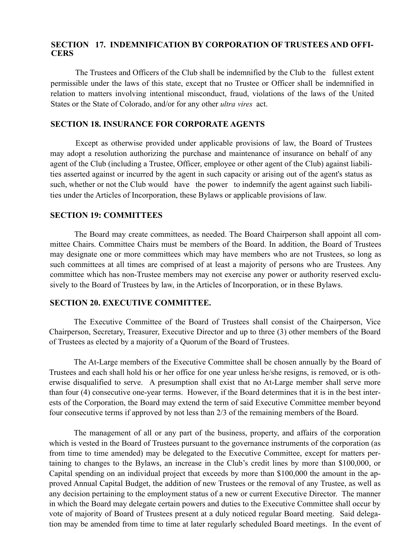# **SECTION 17. INDEMNIFICATION BY CORPORATION OF TRUSTEES AND OFFI-CERS**

The Trustees and Officers of the Club shall be indemnified by the Club to the fullest extent permissible under the laws of this state, except that no Trustee or Officer shall be indemnified in relation to matters involving intentional misconduct, fraud, violations of the laws of the United States or the State of Colorado, and/or for any other *ultra vires* act.

# **SECTION 18. INSURANCE FOR CORPORATE AGENTS**

Except as otherwise provided under applicable provisions of law, the Board of Trustees may adopt a resolution authorizing the purchase and maintenance of insurance on behalf of any agent of the Club (including a Trustee, Officer, employee or other agent of the Club) against liabilities asserted against or incurred by the agent in such capacity or arising out of the agent's status as such, whether or not the Club would have the power to indemnify the agent against such liabilities under the Articles of Incorporation, these Bylaws or applicable provisions of law.

## **SECTION 19: COMMITTEES**

The Board may create committees, as needed. The Board Chairperson shall appoint all committee Chairs. Committee Chairs must be members of the Board. In addition, the Board of Trustees may designate one or more committees which may have members who are not Trustees, so long as such committees at all times are comprised of at least a majority of persons who are Trustees. Any committee which has non-Trustee members may not exercise any power or authority reserved exclusively to the Board of Trustees by law, in the Articles of Incorporation, or in these Bylaws.

#### **SECTION 20. EXECUTIVE COMMITTEE.**

The Executive Committee of the Board of Trustees shall consist of the Chairperson, Vice Chairperson, Secretary, Treasurer, Executive Director and up to three (3) other members of the Board of Trustees as elected by a majority of a Quorum of the Board of Trustees.

The At-Large members of the Executive Committee shall be chosen annually by the Board of Trustees and each shall hold his or her office for one year unless he/she resigns, is removed, or is otherwise disqualified to serve. A presumption shall exist that no At-Large member shall serve more than four (4) consecutive one-year terms. However, if the Board determines that it is in the best interests of the Corporation, the Board may extend the term of said Executive Committee member beyond four consecutive terms if approved by not less than 2/3 of the remaining members of the Board.

The management of all or any part of the business, property, and affairs of the corporation which is vested in the Board of Trustees pursuant to the governance instruments of the corporation (as from time to time amended) may be delegated to the Executive Committee, except for matters pertaining to changes to the Bylaws, an increase in the Club's credit lines by more than \$100,000, or Capital spending on an individual project that exceeds by more than \$100,000 the amount in the approved Annual Capital Budget, the addition of new Trustees or the removal of any Trustee, as well as any decision pertaining to the employment status of a new or current Executive Director. The manner in which the Board may delegate certain powers and duties to the Executive Committee shall occur by vote of majority of Board of Trustees present at a duly noticed regular Board meeting. Said delegation may be amended from time to time at later regularly scheduled Board meetings. In the event of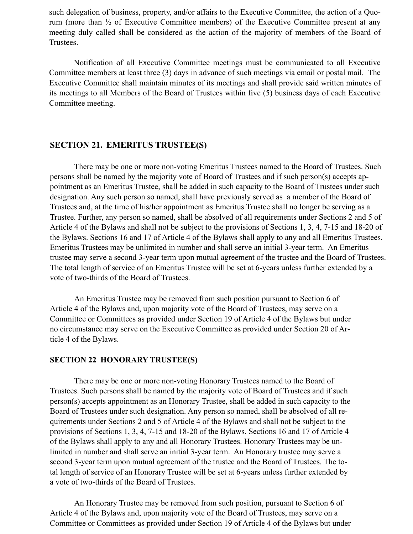such delegation of business, property, and/or affairs to the Executive Committee, the action of a Quorum (more than ½ of Executive Committee members) of the Executive Committee present at any meeting duly called shall be considered as the action of the majority of members of the Board of Trustees.

Notification of all Executive Committee meetings must be communicated to all Executive Committee members at least three (3) days in advance of such meetings via email or postal mail. The Executive Committee shall maintain minutes of its meetings and shall provide said written minutes of its meetings to all Members of the Board of Trustees within five (5) business days of each Executive Committee meeting.

# **SECTION 21. EMERITUS TRUSTEE(S)**

There may be one or more non-voting Emeritus Trustees named to the Board of Trustees. Such persons shall be named by the majority vote of Board of Trustees and if such person(s) accepts appointment as an Emeritus Trustee, shall be added in such capacity to the Board of Trustees under such designation. Any such person so named, shall have previously served as a member of the Board of Trustees and, at the time of his/her appointment as Emeritus Trustee shall no longer be serving as a Trustee. Further, any person so named, shall be absolved of all requirements under Sections 2 and 5 of Article 4 of the Bylaws and shall not be subject to the provisions of Sections 1, 3, 4, 7-15 and 18-20 of the Bylaws. Sections 16 and 17 of Article 4 of the Bylaws shall apply to any and all Emeritus Trustees. Emeritus Trustees may be unlimited in number and shall serve an initial 3-year term. An Emeritus trustee may serve a second 3-year term upon mutual agreement of the trustee and the Board of Trustees. The total length of service of an Emeritus Trustee will be set at 6-years unless further extended by a vote of two-thirds of the Board of Trustees.

An Emeritus Trustee may be removed from such position pursuant to Section 6 of Article 4 of the Bylaws and, upon majority vote of the Board of Trustees, may serve on a Committee or Committees as provided under Section 19 of Article 4 of the Bylaws but under no circumstance may serve on the Executive Committee as provided under Section 20 of Article 4 of the Bylaws.

## **SECTION 22 HONORARY TRUSTEE(S)**

There may be one or more non-voting Honorary Trustees named to the Board of Trustees. Such persons shall be named by the majority vote of Board of Trustees and if such person(s) accepts appointment as an Honorary Trustee, shall be added in such capacity to the Board of Trustees under such designation. Any person so named, shall be absolved of all requirements under Sections 2 and 5 of Article 4 of the Bylaws and shall not be subject to the provisions of Sections 1, 3, 4, 7-15 and 18-20 of the Bylaws. Sections 16 and 17 of Article 4 of the Bylaws shall apply to any and all Honorary Trustees. Honorary Trustees may be unlimited in number and shall serve an initial 3-year term. An Honorary trustee may serve a second 3-year term upon mutual agreement of the trustee and the Board of Trustees. The total length of service of an Honorary Trustee will be set at 6-years unless further extended by a vote of two-thirds of the Board of Trustees.

An Honorary Trustee may be removed from such position, pursuant to Section 6 of Article 4 of the Bylaws and, upon majority vote of the Board of Trustees, may serve on a Committee or Committees as provided under Section 19 of Article 4 of the Bylaws but under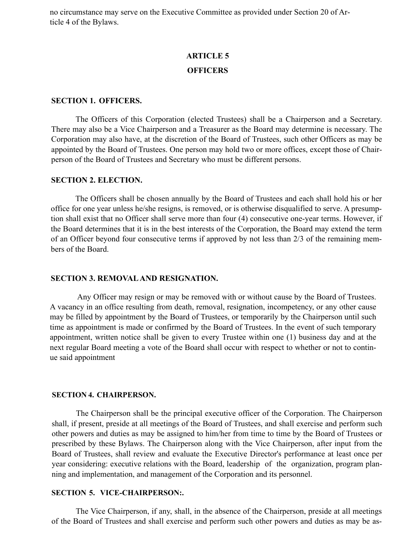no circumstance may serve on the Executive Committee as provided under Section 20 of Article 4 of the Bylaws.

# **ARTICLE 5 OFFICERS**

# **SECTION 1. OFFICERS.**

The Officers of this Corporation (elected Trustees) shall be a Chairperson and a Secretary. There may also be a Vice Chairperson and a Treasurer as the Board may determine is necessary. The Corporation may also have, at the discretion of the Board of Trustees, such other Officers as may be appointed by the Board of Trustees. One person may hold two or more offices, except those of Chairperson of the Board of Trustees and Secretary who must be different persons.

#### **SECTION 2. ELECTION.**

The Officers shall be chosen annually by the Board of Trustees and each shall hold his or her office for one year unless he/she resigns, is removed, or is otherwise disqualified to serve. A presumption shall exist that no Officer shall serve more than four (4) consecutive one-year terms. However, if the Board determines that it is in the best interests of the Corporation, the Board may extend the term of an Officer beyond four consecutive terms if approved by not less than 2/3 of the remaining members of the Board.

#### **SECTION 3. REMOVAL AND RESIGNATION.**

Any Officer may resign or may be removed with or without cause by the Board of Trustees. A vacancy in an office resulting from death, removal, resignation, incompetency, or any other cause may be filled by appointment by the Board of Trustees, or temporarily by the Chairperson until such time as appointment is made or confirmed by the Board of Trustees. In the event of such temporary appointment, written notice shall be given to every Trustee within one (1) business day and at the next regular Board meeting a vote of the Board shall occur with respect to whether or not to continue said appointment

#### **SECTION 4. CHAIRPERSON.**

The Chairperson shall be the principal executive officer of the Corporation. The Chairperson shall, if present, preside at all meetings of the Board of Trustees, and shall exercise and perform such other powers and duties as may be assigned to him/her from time to time by the Board of Trustees or prescribed by these Bylaws. The Chairperson along with the Vice Chairperson, after input from the Board of Trustees, shall review and evaluate the Executive Director's performance at least once per year considering: executive relations with the Board, leadership of the organization, program planning and implementation, and management of the Corporation and its personnel.

#### **SECTION 5. VICE-CHAIRPERSON:.**

The Vice Chairperson, if any, shall, in the absence of the Chairperson, preside at all meetings of the Board of Trustees and shall exercise and perform such other powers and duties as may be as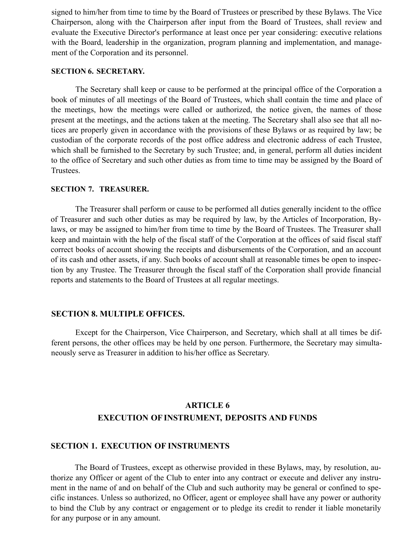signed to him/her from time to time by the Board of Trustees or prescribed by these Bylaws. The Vice Chairperson, along with the Chairperson after input from the Board of Trustees, shall review and evaluate the Executive Director's performance at least once per year considering: executive relations with the Board, leadership in the organization, program planning and implementation, and management of the Corporation and its personnel.

#### **SECTION 6. SECRETARY.**

The Secretary shall keep or cause to be performed at the principal office of the Corporation a book of minutes of all meetings of the Board of Trustees, which shall contain the time and place of the meetings, how the meetings were called or authorized, the notice given, the names of those present at the meetings, and the actions taken at the meeting. The Secretary shall also see that all notices are properly given in accordance with the provisions of these Bylaws or as required by law; be custodian of the corporate records of the post office address and electronic address of each Trustee, which shall be furnished to the Secretary by such Trustee; and, in general, perform all duties incident to the office of Secretary and such other duties as from time to time may be assigned by the Board of Trustees.

#### **SECTION 7. TREASURER.**

The Treasurer shall perform or cause to be performed all duties generally incident to the office of Treasurer and such other duties as may be required by law, by the Articles of Incorporation, Bylaws, or may be assigned to him/her from time to time by the Board of Trustees. The Treasurer shall keep and maintain with the help of the fiscal staff of the Corporation at the offices of said fiscal staff correct books of account showing the receipts and disbursements of the Corporation, and an account of its cash and other assets, if any. Such books of account shall at reasonable times be open to inspection by any Trustee. The Treasurer through the fiscal staff of the Corporation shall provide financial reports and statements to the Board of Trustees at all regular meetings.

#### **SECTION 8. MULTIPLE OFFICES.**

Except for the Chairperson, Vice Chairperson, and Secretary, which shall at all times be different persons, the other offices may be held by one person. Furthermore, the Secretary may simultaneously serve as Treasurer in addition to his/her office as Secretary.

# **ARTICLE 6 EXECUTION OF INSTRUMENT, DEPOSITS AND FUNDS**

# **SECTION 1. EXECUTION OF INSTRUMENTS**

The Board of Trustees, except as otherwise provided in these Bylaws, may, by resolution, authorize any Officer or agent of the Club to enter into any contract or execute and deliver any instrument in the name of and on behalf of the Club and such authority may be general or confined to specific instances. Unless so authorized, no Officer, agent or employee shall have any power or authority to bind the Club by any contract or engagement or to pledge its credit to render it liable monetarily for any purpose or in any amount.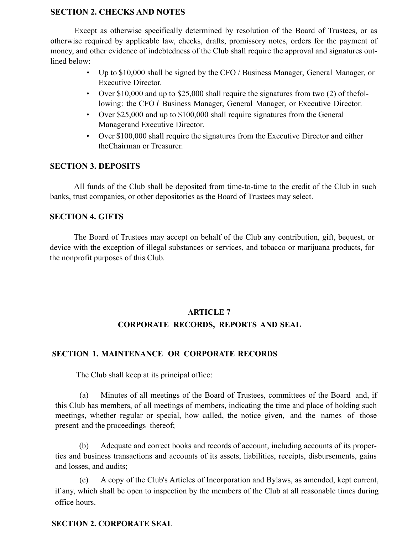# **SECTION 2. CHECKS AND NOTES**

Except as otherwise specifically determined by resolution of the Board of Trustees, or as otherwise required by applicable law, checks, drafts, promissory notes, orders for the payment of money, and other evidence of indebtedness of the Club shall require the approval and signatures outlined below:

- Up to \$10,000 shall be signed by the CFO / Business Manager, General Manager, or Executive Director.
- Over \$10,000 and up to \$25,000 shall require the signatures from two (2) of the following: the CFO *I* Business Manager, General Manager, or Executive Director.
- Over \$25,000 and up to \$100,000 shall require signatures from the General Managerand Executive Director.
- Over \$100,000 shall require the signatures from the Executive Director and either theChairman or Treasurer.

# **SECTION 3. DEPOSITS**

All funds of the Club shall be deposited from time-to-time to the credit of the Club in such banks, trust companies, or other depositories as the Board of Trustees may select.

# **SECTION 4. GIFTS**

The Board of Trustees may accept on behalf of the Club any contribution, gift, bequest, or device with the exception of illegal substances or services, and tobacco or marijuana products, for the nonprofit purposes of this Club.

# **ARTICLE 7 CORPORATE RECORDS, REPORTS AND SEAL**

# **SECTION 1. MAINTENANCE OR CORPORATE RECORDS**

The Club shall keep at its principal office:

(a) Minutes of all meetings of the Board of Trustees, committees of the Board and, if this Club has members, of all meetings of members, indicating the time and place of holding such meetings, whether regular or special, how called, the notice given, and the names of those present and the proceedings thereof;

(b) Adequate and correct books and records of account, including accounts of its properties and business transactions and accounts of its assets, liabilities, receipts, disbursements, gains and losses, and audits;

(c) A copy of the Club's Articles of Incorporation and Bylaws, as amended, kept current, if any, which shall be open to inspection by the members of the Club at all reasonable times during office hours.

# **SECTION 2. CORPORATE SEAL**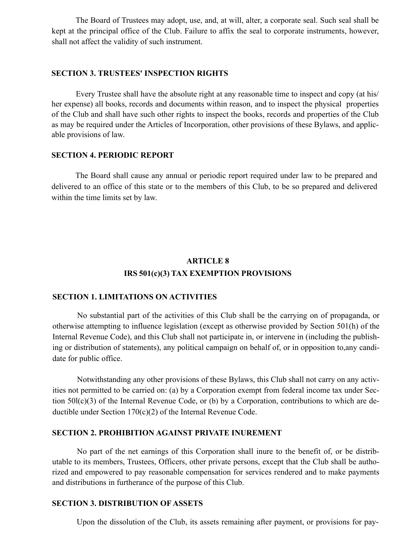The Board of Trustees may adopt, use, and, at will, alter, a corporate seal. Such seal shall be kept at the principal office of the Club. Failure to affix the seal to corporate instruments, however, shall not affect the validity of such instrument.

#### **SECTION 3. TRUSTEES' INSPECTION RIGHTS**

Every Trustee shall have the absolute right at any reasonable time to inspect and copy (at his/ her expense) all books, records and documents within reason, and to inspect the physical properties of the Club and shall have such other rights to inspect the books, records and properties of the Club as may be required under the Articles of Incorporation, other provisions of these Bylaws, and applicable provisions of law.

#### **SECTION 4. PERIODIC REPORT**

The Board shall cause any annual or periodic report required under law to be prepared and delivered to an office of this state or to the members of this Club, to be so prepared and delivered within the time limits set by law.

# **ARTICLE 8 IRS 501(c)(3) TAX EXEMPTION PROVISIONS**

# **SECTION 1. LIMITATIONS ON ACTIVITIES**

No substantial part of the activities of this Club shall be the carrying on of propaganda, or otherwise attempting to influence legislation (except as otherwise provided by Section 501(h) of the Internal Revenue Code), and this Club shall not participate in, or intervene in (including the publishing or distribution of statements), any political campaign on behalf of, or in opposition to,any candidate for public office.

Notwithstanding any other provisions of these Bylaws, this Club shall not carry on any activities not permitted to be carried on: (a) by a Corporation exempt from federal income tax under Section 50l(c)(3) of the Internal Revenue Code, or (b) by a Corporation, contributions to which are deductible under Section 170(c)(2) of the Internal Revenue Code.

#### **SECTION 2. PROHIBITION AGAINST PRIVATE INUREMENT**

No part of the net earnings of this Corporation shall inure to the benefit of, or be distributable to its members, Trustees, Officers, other private persons, except that the Club shall be authorized and empowered to pay reasonable compensation for services rendered and to make payments and distributions in furtherance of the purpose of this Club.

#### **SECTION 3. DISTRIBUTION OF ASSETS**

Upon the dissolution of the Club, its assets remaining after payment, or provisions for pay-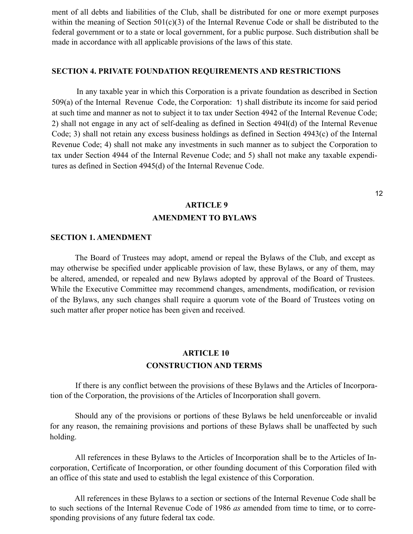ment of all debts and liabilities of the Club, shall be distributed for one or more exempt purposes within the meaning of Section 501(c)(3) of the Internal Revenue Code or shall be distributed to the federal government or to a state or local government, for a public purpose. Such distribution shall be made in accordance with all applicable provisions of the laws of this state.

### **SECTION 4. PRIVATE FOUNDATION REQUIREMENTS AND RESTRICTIONS**

In any taxable year in which this Corporation is a private foundation as described in Section 509(a) of the Internal Revenue Code, the Corporation: 1) shall distribute its income for said period at such time and manner as not to subject it to tax under Section 4942 of the Internal Revenue Code; 2) shall not engage in any act of self-dealing as defined in Section 494l(d) of the Internal Revenue Code; 3) shall not retain any excess business holdings as defined in Section 4943(c) of the Internal Revenue Code; 4) shall not make any investments in such manner as to subject the Corporation to tax under Section 4944 of the Internal Revenue Code; and 5) shall not make any taxable expenditures as defined in Section 4945(d) of the Internal Revenue Code.

# **ARTICLE 9 AMENDMENT TO BYLAWS**

#### **SECTION 1. AMENDMENT**

The Board of Trustees may adopt, amend or repeal the Bylaws of the Club, and except as may otherwise be specified under applicable provision of law, these Bylaws, or any of them, may be altered, amended, or repealed and new Bylaws adopted by approval of the Board of Trustees. While the Executive Committee may recommend changes, amendments, modification, or revision of the Bylaws, any such changes shall require a quorum vote of the Board of Trustees voting on such matter after proper notice has been given and received.

# **ARTICLE 10 CONSTRUCTION AND TERMS**

If there is any conflict between the provisions of these Bylaws and the Articles of Incorporation of the Corporation, the provisions of the Articles of Incorporation shall govern.

Should any of the provisions or portions of these Bylaws be held unenforceable or invalid for any reason, the remaining provisions and portions of these Bylaws shall be unaffected by such holding.

All references in these Bylaws to the Articles of Incorporation shall be to the Articles of Incorporation, Certificate of Incorporation, or other founding document of this Corporation filed with an office of this state and used to establish the legal existence of this Corporation.

All references in these Bylaws to a section or sections of the Internal Revenue Code shall be to such sections of the Internal Revenue Code of 1986 *as* amended from time to time, or to corresponding provisions of any future federal tax code.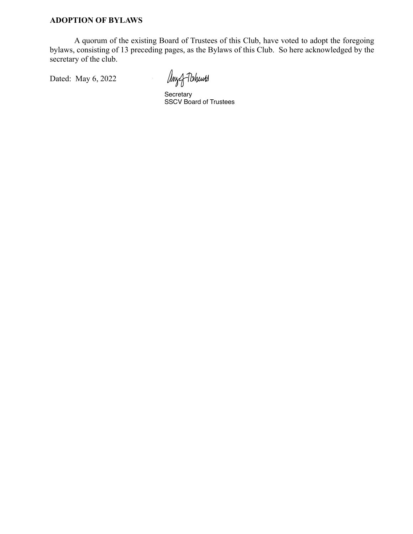A quorum of the existing Board of Trustees of this Club, have voted to adopt the foregoing bylaws, consisting of 13 preceding pages, as the Bylaws of this Club. So here acknowledged by the secretary of the club.

Dated: May 6, 2022

Any of Tohurts

Secretary SSCV Board of Trustees